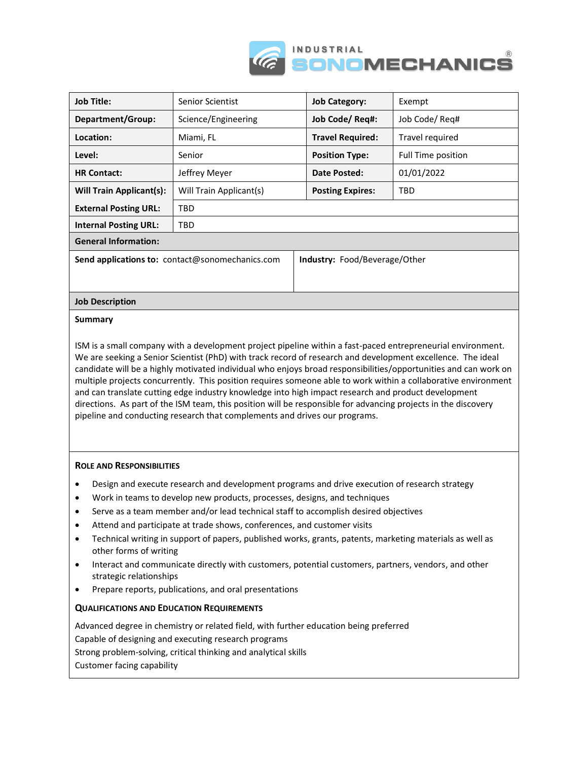



## **Summary**

ISM is a small company with a development project pipeline within a fast-paced entrepreneurial environment. We are seeking a Senior Scientist (PhD) with track record of research and development excellence. The ideal candidate will be a highly motivated individual who enjoys broad responsibilities/opportunities and can work on multiple projects concurrently. This position requires someone able to work within a collaborative environment and can translate cutting edge industry knowledge into high impact research and product development directions. As part of the ISM team, this position will be responsible for advancing projects in the discovery pipeline and conducting research that complements and drives our programs.

## **ROLE AND RESPONSIBILITIES**

- Design and execute research and development programs and drive execution of research strategy
- Work in teams to develop new products, processes, designs, and techniques
- Serve as a team member and/or lead technical staff to accomplish desired objectives
- Attend and participate at trade shows, conferences, and customer visits
- Technical writing in support of papers, published works, grants, patents, marketing materials as well as other forms of writing
- Interact and communicate directly with customers, potential customers, partners, vendors, and other strategic relationships
- Prepare reports, publications, and oral presentations

## **QUALIFICATIONS AND EDUCATION REQUIREMENTS**

Advanced degree in chemistry or related field, with further education being preferred Capable of designing and executing research programs Strong problem-solving, critical thinking and analytical skills Customer facing capability